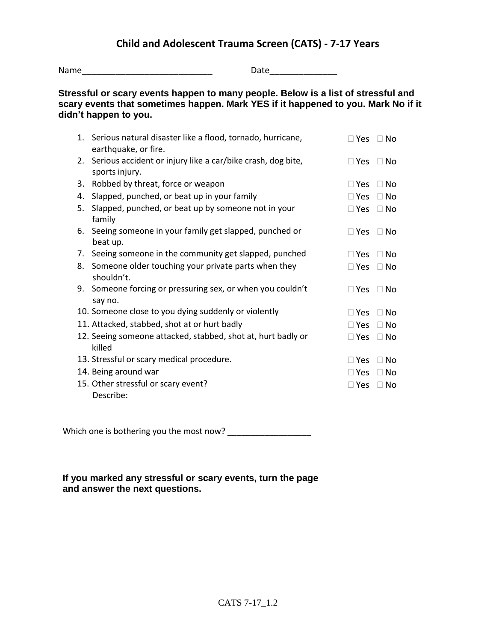## **Child and Adolescent Trauma Screen (CATS) - 7-17 Years**

Name\_\_\_\_\_\_\_\_\_\_\_\_\_\_\_\_\_\_\_\_\_\_\_\_\_\_\_ Date\_\_\_\_\_\_\_\_\_\_\_\_\_\_

## **Stressful or scary events happen to many people. Below is a list of stressful and scary events that sometimes happen. Mark YES if it happened to you. Mark No if it didn't happen to you.**

|    | 1. Serious natural disaster like a flood, tornado, hurricane,<br>earthquake, or fire. | $\square$ Yes | $\Box$ No |
|----|---------------------------------------------------------------------------------------|---------------|-----------|
|    | 2. Serious accident or injury like a car/bike crash, dog bite,<br>sports injury.      | $\Box$ Yes    | $\Box$ No |
| 3. | Robbed by threat, force or weapon                                                     | $\Box$ Yes    | $\Box$ No |
| 4. | Slapped, punched, or beat up in your family                                           | $\Box$ Yes    | $\Box$ No |
| 5. | Slapped, punched, or beat up by someone not in your<br>family                         | $\Box$ Yes    | $\Box$ No |
|    | 6. Seeing someone in your family get slapped, punched or<br>beat up.                  | $\square$ Yes | $\Box$ No |
|    | 7. Seeing someone in the community get slapped, punched                               | $\Box$ Yes    | $\Box$ No |
| 8. | Someone older touching your private parts when they<br>shouldn't.                     | $\Box$ Yes    | $\Box$ No |
|    | 9. Someone forcing or pressuring sex, or when you couldn't<br>say no.                 | $\Box$ Yes    | $\Box$ No |
|    | 10. Someone close to you dying suddenly or violently                                  | $\Box$ Yes    | $\Box$ No |
|    | 11. Attacked, stabbed, shot at or hurt badly                                          | $\Box$ Yes    | $\Box$ No |
|    | 12. Seeing someone attacked, stabbed, shot at, hurt badly or<br>killed                | $\Box$ Yes    | $\Box$ No |
|    | 13. Stressful or scary medical procedure.                                             | $\sqcup$ Yes  | $\Box$ No |
|    | 14. Being around war                                                                  | $\Box$ Yes    | $\Box$ No |
|    | 15. Other stressful or scary event?                                                   | $\Box$ Yes    | $\Box$ No |
|    | Describe:                                                                             |               |           |

Which one is bothering you the most now? \_\_\_\_\_\_\_\_\_\_\_\_\_\_\_\_\_\_

**If you marked any stressful or scary events, turn the page and answer the next questions.**